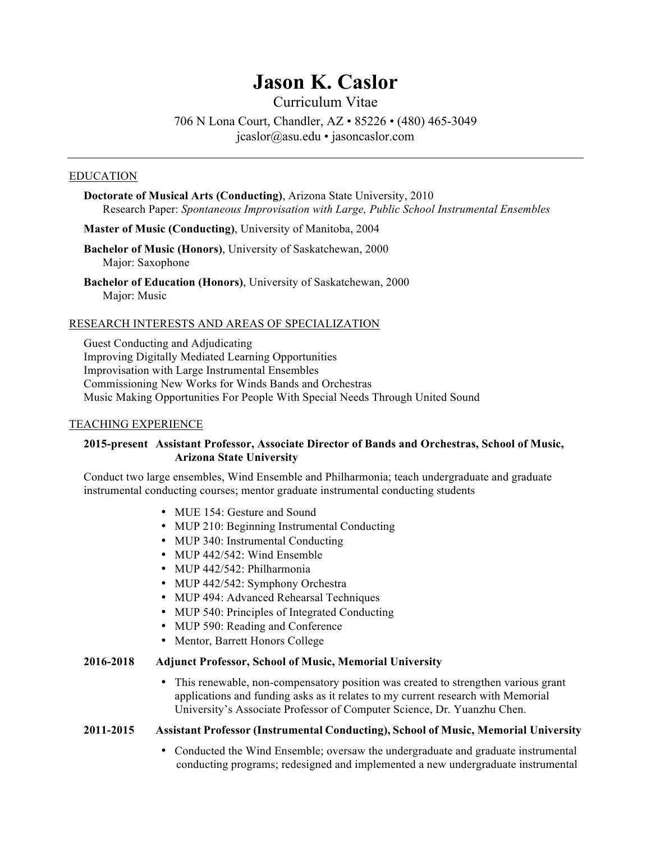# **Jason K. Caslor**

Curriculum Vitae 706 N Lona Court, Chandler, AZ • 85226 • (480) 465-3049 jcaslor@asu.edu • jasoncaslor.com

#### EDUCATION

**Doctorate of Musical Arts (Conducting)**, Arizona State University, 2010 Research Paper: *Spontaneous Improvisation with Large, Public School Instrumental Ensembles*

**Master of Music (Conducting)**, University of Manitoba, 2004

**Bachelor of Music (Honors)**, University of Saskatchewan, 2000 Major: Saxophone

**Bachelor of Education (Honors)**, University of Saskatchewan, 2000 Major: Music

#### RESEARCH INTERESTS AND AREAS OF SPECIALIZATION

Guest Conducting and Adjudicating Improving Digitally Mediated Learning Opportunities Improvisation with Large Instrumental Ensembles Commissioning New Works for Winds Bands and Orchestras Music Making Opportunities For People With Special Needs Through United Sound

#### TEACHING EXPERIENCE

## **2015-present Assistant Professor, Associate Director of Bands and Orchestras, School of Music, Arizona State University**

Conduct two large ensembles, Wind Ensemble and Philharmonia; teach undergraduate and graduate instrumental conducting courses; mentor graduate instrumental conducting students

- MUE 154: Gesture and Sound
- MUP 210: Beginning Instrumental Conducting
- MUP 340: Instrumental Conducting
- MUP 442/542: Wind Ensemble
- MUP 442/542: Philharmonia
- MUP 442/542: Symphony Orchestra
- MUP 494: Advanced Rehearsal Techniques
- MUP 540: Principles of Integrated Conducting
- MUP 590: Reading and Conference
- Mentor, Barrett Honors College

## **2016-2018 Adjunct Professor, School of Music, Memorial University**

• This renewable, non-compensatory position was created to strengthen various grant applications and funding asks as it relates to my current research with Memorial University's Associate Professor of Computer Science, Dr. Yuanzhu Chen.

#### **2011-2015 Assistant Professor (Instrumental Conducting), School of Music, Memorial University**

• Conducted the Wind Ensemble; oversaw the undergraduate and graduate instrumental conducting programs; redesigned and implemented a new undergraduate instrumental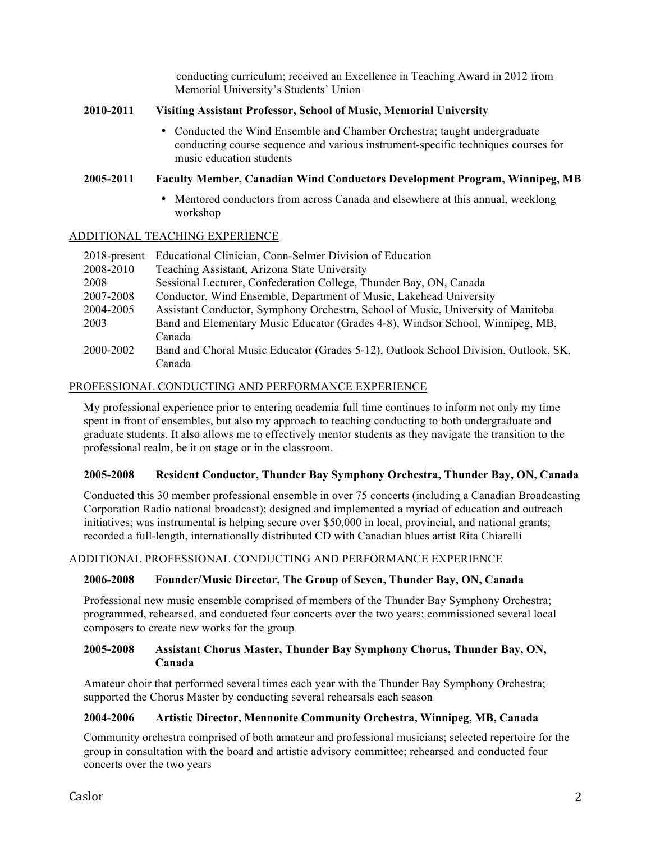conducting curriculum; received an Excellence in Teaching Award in 2012 from Memorial University's Students' Union

# **2010-2011 Visiting Assistant Professor, School of Music, Memorial University**

• Conducted the Wind Ensemble and Chamber Orchestra; taught undergraduate conducting course sequence and various instrument-specific techniques courses for music education students

# **2005-2011 Faculty Member, Canadian Wind Conductors Development Program, Winnipeg, MB**

• Mentored conductors from across Canada and elsewhere at this annual, weeklong workshop

# ADDITIONAL TEACHING EXPERIENCE

| 2018-present | Educational Clinician, Conn-Selmer Division of Education                            |
|--------------|-------------------------------------------------------------------------------------|
| 2008-2010    | Teaching Assistant, Arizona State University                                        |
| 2008         | Sessional Lecturer, Confederation College, Thunder Bay, ON, Canada                  |
| 2007-2008    | Conductor, Wind Ensemble, Department of Music, Lakehead University                  |
| 2004-2005    | Assistant Conductor, Symphony Orchestra, School of Music, University of Manitoba    |
| 2003         | Band and Elementary Music Educator (Grades 4-8), Windsor School, Winnipeg, MB,      |
|              | Canada                                                                              |
| 2000-2002    | Band and Choral Music Educator (Grades 5-12), Outlook School Division, Outlook, SK, |
|              | Canada                                                                              |

# PROFESSIONAL CONDUCTING AND PERFORMANCE EXPERIENCE

My professional experience prior to entering academia full time continues to inform not only my time spent in front of ensembles, but also my approach to teaching conducting to both undergraduate and graduate students. It also allows me to effectively mentor students as they navigate the transition to the professional realm, be it on stage or in the classroom.

# **2005-2008 Resident Conductor, Thunder Bay Symphony Orchestra, Thunder Bay, ON, Canada**

Conducted this 30 member professional ensemble in over 75 concerts (including a Canadian Broadcasting Corporation Radio national broadcast); designed and implemented a myriad of education and outreach initiatives; was instrumental is helping secure over \$50,000 in local, provincial, and national grants; recorded a full-length, internationally distributed CD with Canadian blues artist Rita Chiarelli

# ADDITIONAL PROFESSIONAL CONDUCTING AND PERFORMANCE EXPERIENCE

# **2006-2008 Founder/Music Director, The Group of Seven, Thunder Bay, ON, Canada**

Professional new music ensemble comprised of members of the Thunder Bay Symphony Orchestra; programmed, rehearsed, and conducted four concerts over the two years; commissioned several local composers to create new works for the group

# **2005-2008 Assistant Chorus Master, Thunder Bay Symphony Chorus, Thunder Bay, ON, Canada**

Amateur choir that performed several times each year with the Thunder Bay Symphony Orchestra; supported the Chorus Master by conducting several rehearsals each season

# **2004-2006 Artistic Director, Mennonite Community Orchestra, Winnipeg, MB, Canada**

Community orchestra comprised of both amateur and professional musicians; selected repertoire for the group in consultation with the board and artistic advisory committee; rehearsed and conducted four concerts over the two years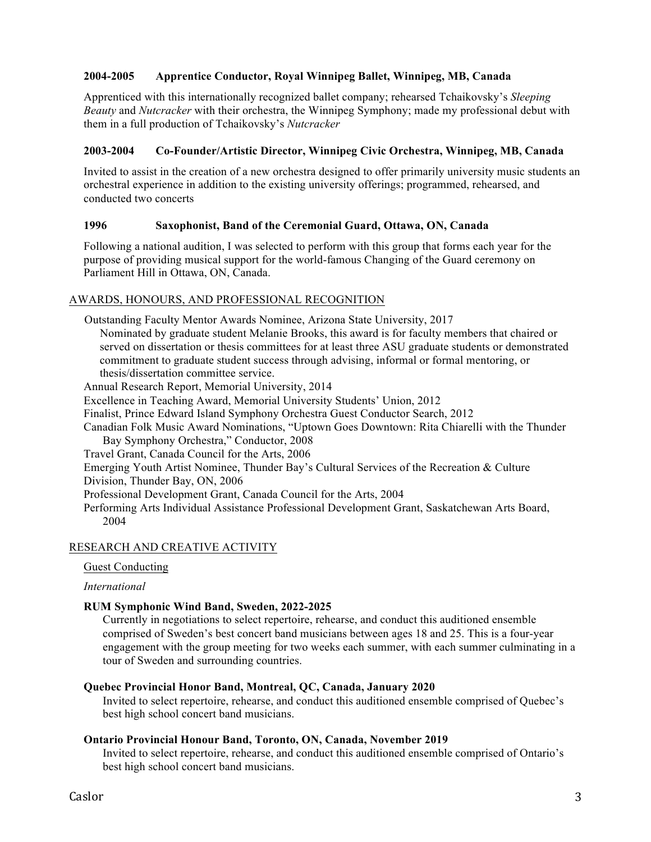# **2004-2005 Apprentice Conductor, Royal Winnipeg Ballet, Winnipeg, MB, Canada**

Apprenticed with this internationally recognized ballet company; rehearsed Tchaikovsky's *Sleeping Beauty* and *Nutcracker* with their orchestra, the Winnipeg Symphony; made my professional debut with them in a full production of Tchaikovsky's *Nutcracker*

## **2003-2004 Co-Founder/Artistic Director, Winnipeg Civic Orchestra, Winnipeg, MB, Canada**

Invited to assist in the creation of a new orchestra designed to offer primarily university music students an orchestral experience in addition to the existing university offerings; programmed, rehearsed, and conducted two concerts

# **1996 Saxophonist, Band of the Ceremonial Guard, Ottawa, ON, Canada**

Following a national audition, I was selected to perform with this group that forms each year for the purpose of providing musical support for the world-famous Changing of the Guard ceremony on Parliament Hill in Ottawa, ON, Canada.

## AWARDS, HONOURS, AND PROFESSIONAL RECOGNITION

Outstanding Faculty Mentor Awards Nominee, Arizona State University, 2017 Nominated by graduate student Melanie Brooks, this award is for faculty members that chaired or served on dissertation or thesis committees for at least three ASU graduate students or demonstrated commitment to graduate student success through advising, informal or formal mentoring, or thesis/dissertation committee service.

Annual Research Report, Memorial University, 2014

Excellence in Teaching Award, Memorial University Students' Union, 2012

Finalist, Prince Edward Island Symphony Orchestra Guest Conductor Search, 2012

 Canadian Folk Music Award Nominations, "Uptown Goes Downtown: Rita Chiarelli with the Thunder Bay Symphony Orchestra," Conductor, 2008

Travel Grant, Canada Council for the Arts, 2006

Emerging Youth Artist Nominee, Thunder Bay's Cultural Services of the Recreation & Culture

Division, Thunder Bay, ON, 2006

Professional Development Grant, Canada Council for the Arts, 2004

Performing Arts Individual Assistance Professional Development Grant, Saskatchewan Arts Board, 2004

# RESEARCH AND CREATIVE ACTIVITY

#### Guest Conducting

#### *International*

#### **RUM Symphonic Wind Band, Sweden, 2022-2025**

Currently in negotiations to select repertoire, rehearse, and conduct this auditioned ensemble comprised of Sweden's best concert band musicians between ages 18 and 25. This is a four-year engagement with the group meeting for two weeks each summer, with each summer culminating in a tour of Sweden and surrounding countries.

#### **Quebec Provincial Honor Band, Montreal, QC, Canada, January 2020**

Invited to select repertoire, rehearse, and conduct this auditioned ensemble comprised of Quebec's best high school concert band musicians.

#### **Ontario Provincial Honour Band, Toronto, ON, Canada, November 2019**

Invited to select repertoire, rehearse, and conduct this auditioned ensemble comprised of Ontario's best high school concert band musicians.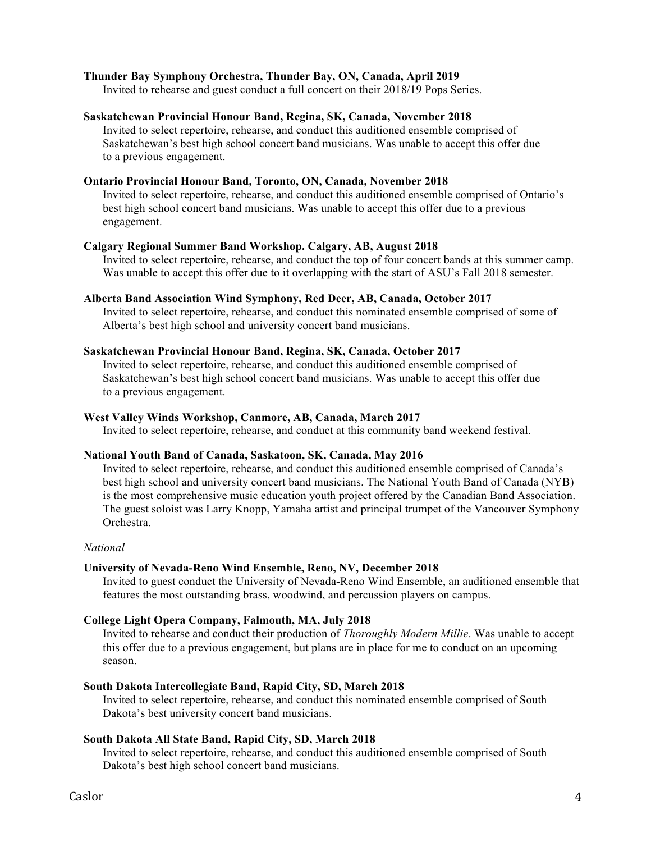## **Thunder Bay Symphony Orchestra, Thunder Bay, ON, Canada, April 2019**

Invited to rehearse and guest conduct a full concert on their 2018/19 Pops Series.

## **Saskatchewan Provincial Honour Band, Regina, SK, Canada, November 2018**

Invited to select repertoire, rehearse, and conduct this auditioned ensemble comprised of Saskatchewan's best high school concert band musicians. Was unable to accept this offer due to a previous engagement.

# **Ontario Provincial Honour Band, Toronto, ON, Canada, November 2018**

Invited to select repertoire, rehearse, and conduct this auditioned ensemble comprised of Ontario's best high school concert band musicians. Was unable to accept this offer due to a previous engagement.

## **Calgary Regional Summer Band Workshop. Calgary, AB, August 2018**

Invited to select repertoire, rehearse, and conduct the top of four concert bands at this summer camp. Was unable to accept this offer due to it overlapping with the start of ASU's Fall 2018 semester.

## **Alberta Band Association Wind Symphony, Red Deer, AB, Canada, October 2017**

Invited to select repertoire, rehearse, and conduct this nominated ensemble comprised of some of Alberta's best high school and university concert band musicians.

#### **Saskatchewan Provincial Honour Band, Regina, SK, Canada, October 2017**

Invited to select repertoire, rehearse, and conduct this auditioned ensemble comprised of Saskatchewan's best high school concert band musicians. Was unable to accept this offer due to a previous engagement.

#### **West Valley Winds Workshop, Canmore, AB, Canada, March 2017**

Invited to select repertoire, rehearse, and conduct at this community band weekend festival.

#### **National Youth Band of Canada, Saskatoon, SK, Canada, May 2016**

Invited to select repertoire, rehearse, and conduct this auditioned ensemble comprised of Canada's best high school and university concert band musicians. The National Youth Band of Canada (NYB) is the most comprehensive music education youth project offered by the Canadian Band Association. The guest soloist was Larry Knopp, Yamaha artist and principal trumpet of the Vancouver Symphony Orchestra.

#### *National*

# **University of Nevada-Reno Wind Ensemble, Reno, NV, December 2018**

Invited to guest conduct the University of Nevada-Reno Wind Ensemble, an auditioned ensemble that features the most outstanding brass, woodwind, and percussion players on campus.

# **College Light Opera Company, Falmouth, MA, July 2018**

Invited to rehearse and conduct their production of *Thoroughly Modern Millie*. Was unable to accept this offer due to a previous engagement, but plans are in place for me to conduct on an upcoming season.

# **South Dakota Intercollegiate Band, Rapid City, SD, March 2018**

Invited to select repertoire, rehearse, and conduct this nominated ensemble comprised of South Dakota's best university concert band musicians.

#### **South Dakota All State Band, Rapid City, SD, March 2018**

Invited to select repertoire, rehearse, and conduct this auditioned ensemble comprised of South Dakota's best high school concert band musicians.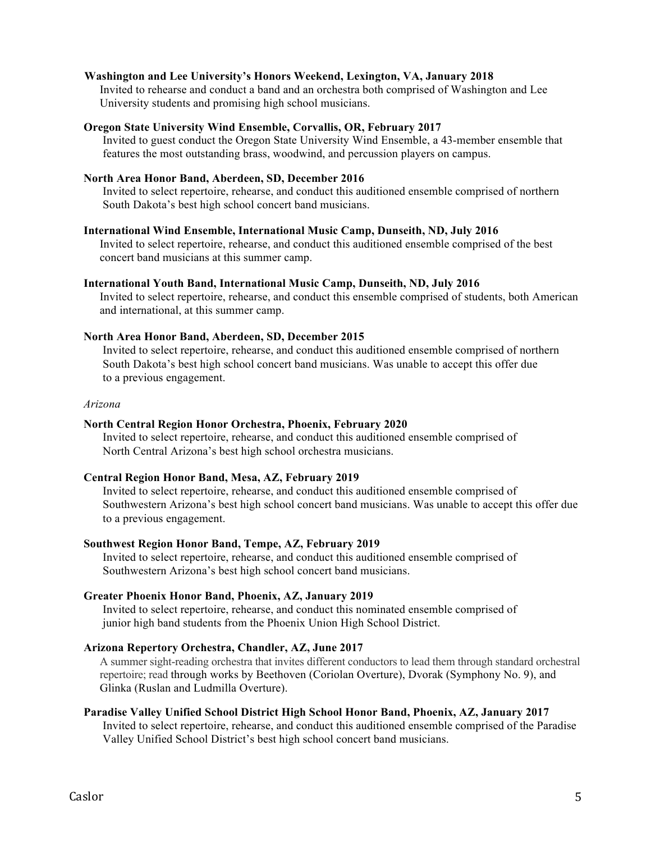## **Washington and Lee University's Honors Weekend, Lexington, VA, January 2018**

Invited to rehearse and conduct a band and an orchestra both comprised of Washington and Lee University students and promising high school musicians.

#### **Oregon State University Wind Ensemble, Corvallis, OR, February 2017**

Invited to guest conduct the Oregon State University Wind Ensemble, a 43-member ensemble that features the most outstanding brass, woodwind, and percussion players on campus.

# **North Area Honor Band, Aberdeen, SD, December 2016**

Invited to select repertoire, rehearse, and conduct this auditioned ensemble comprised of northern South Dakota's best high school concert band musicians.

#### **International Wind Ensemble, International Music Camp, Dunseith, ND, July 2016**

Invited to select repertoire, rehearse, and conduct this auditioned ensemble comprised of the best concert band musicians at this summer camp.

#### **International Youth Band, International Music Camp, Dunseith, ND, July 2016**

Invited to select repertoire, rehearse, and conduct this ensemble comprised of students, both American and international, at this summer camp.

#### **North Area Honor Band, Aberdeen, SD, December 2015**

Invited to select repertoire, rehearse, and conduct this auditioned ensemble comprised of northern South Dakota's best high school concert band musicians. Was unable to accept this offer due to a previous engagement.

#### *Arizona*

#### **North Central Region Honor Orchestra, Phoenix, February 2020**

Invited to select repertoire, rehearse, and conduct this auditioned ensemble comprised of North Central Arizona's best high school orchestra musicians.

#### **Central Region Honor Band, Mesa, AZ, February 2019**

Invited to select repertoire, rehearse, and conduct this auditioned ensemble comprised of Southwestern Arizona's best high school concert band musicians. Was unable to accept this offer due to a previous engagement.

# **Southwest Region Honor Band, Tempe, AZ, February 2019**

Invited to select repertoire, rehearse, and conduct this auditioned ensemble comprised of Southwestern Arizona's best high school concert band musicians.

## **Greater Phoenix Honor Band, Phoenix, AZ, January 2019**

Invited to select repertoire, rehearse, and conduct this nominated ensemble comprised of junior high band students from the Phoenix Union High School District.

# **Arizona Repertory Orchestra, Chandler, AZ, June 2017**

A summer sight-reading orchestra that invites different conductors to lead them through standard orchestral repertoire; read through works by Beethoven (Coriolan Overture), Dvorak (Symphony No. 9), and Glinka (Ruslan and Ludmilla Overture).

#### **Paradise Valley Unified School District High School Honor Band, Phoenix, AZ, January 2017**

Invited to select repertoire, rehearse, and conduct this auditioned ensemble comprised of the Paradise Valley Unified School District's best high school concert band musicians.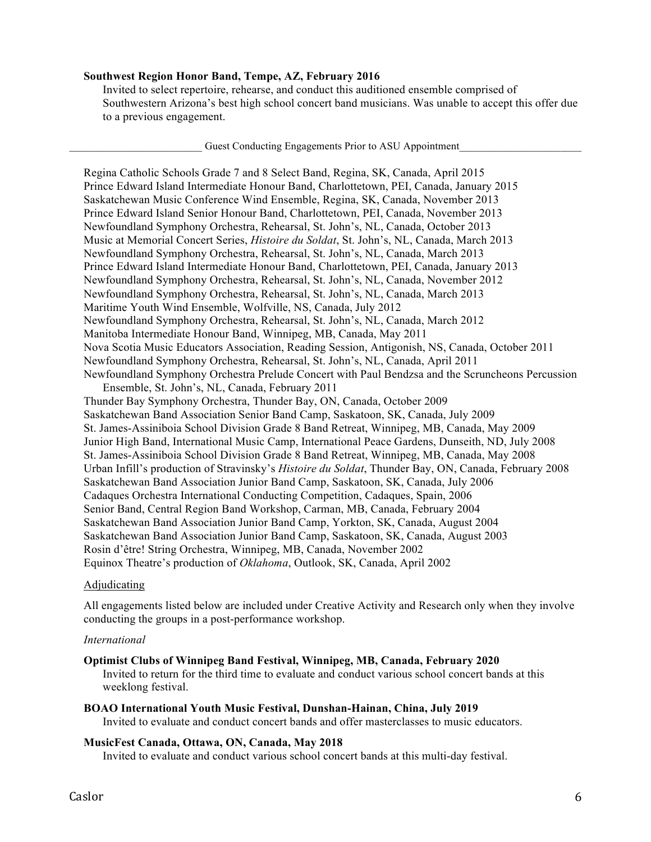## **Southwest Region Honor Band, Tempe, AZ, February 2016**

Invited to select repertoire, rehearse, and conduct this auditioned ensemble comprised of Southwestern Arizona's best high school concert band musicians. Was unable to accept this offer due to a previous engagement.

Guest Conducting Engagements Prior to ASU Appointment

Regina Catholic Schools Grade 7 and 8 Select Band, Regina, SK, Canada, April 2015 Prince Edward Island Intermediate Honour Band, Charlottetown, PEI, Canada, January 2015 Saskatchewan Music Conference Wind Ensemble, Regina, SK, Canada, November 2013 Prince Edward Island Senior Honour Band, Charlottetown, PEI, Canada, November 2013 Newfoundland Symphony Orchestra, Rehearsal, St. John's, NL, Canada, October 2013 Music at Memorial Concert Series, *Histoire du Soldat*, St. John's, NL, Canada, March 2013 Newfoundland Symphony Orchestra, Rehearsal, St. John's, NL, Canada, March 2013 Prince Edward Island Intermediate Honour Band, Charlottetown, PEI, Canada, January 2013 Newfoundland Symphony Orchestra, Rehearsal, St. John's, NL, Canada, November 2012 Newfoundland Symphony Orchestra, Rehearsal, St. John's, NL, Canada, March 2013 Maritime Youth Wind Ensemble, Wolfville, NS, Canada, July 2012 Newfoundland Symphony Orchestra, Rehearsal, St. John's, NL, Canada, March 2012 Manitoba Intermediate Honour Band, Winnipeg, MB, Canada, May 2011 Nova Scotia Music Educators Association, Reading Session, Antigonish, NS, Canada, October 2011 Newfoundland Symphony Orchestra, Rehearsal, St. John's, NL, Canada, April 2011 Newfoundland Symphony Orchestra Prelude Concert with Paul Bendzsa and the Scruncheons Percussion

Ensemble, St. John's, NL, Canada, February 2011 Thunder Bay Symphony Orchestra, Thunder Bay, ON, Canada, October 2009 Saskatchewan Band Association Senior Band Camp, Saskatoon, SK, Canada, July 2009 St. James-Assiniboia School Division Grade 8 Band Retreat, Winnipeg, MB, Canada, May 2009 Junior High Band, International Music Camp, International Peace Gardens, Dunseith, ND, July 2008 St. James-Assiniboia School Division Grade 8 Band Retreat, Winnipeg, MB, Canada, May 2008 Urban Infill's production of Stravinsky's *Histoire du Soldat*, Thunder Bay, ON, Canada, February 2008 Saskatchewan Band Association Junior Band Camp, Saskatoon, SK, Canada, July 2006 Cadaques Orchestra International Conducting Competition, Cadaques, Spain, 2006 Senior Band, Central Region Band Workshop, Carman, MB, Canada, February 2004 Saskatchewan Band Association Junior Band Camp, Yorkton, SK, Canada, August 2004 Saskatchewan Band Association Junior Band Camp, Saskatoon, SK, Canada, August 2003 Rosin d'être! String Orchestra, Winnipeg, MB, Canada, November 2002 Equinox Theatre's production of *Oklahoma*, Outlook, SK, Canada, April 2002

#### Adjudicating

All engagements listed below are included under Creative Activity and Research only when they involve conducting the groups in a post-performance workshop.

#### *International*

## **Optimist Clubs of Winnipeg Band Festival, Winnipeg, MB, Canada, February 2020**

Invited to return for the third time to evaluate and conduct various school concert bands at this weeklong festival.

## **BOAO International Youth Music Festival, Dunshan-Hainan, China, July 2019**

Invited to evaluate and conduct concert bands and offer masterclasses to music educators.

#### **MusicFest Canada, Ottawa, ON, Canada, May 2018**

Invited to evaluate and conduct various school concert bands at this multi-day festival.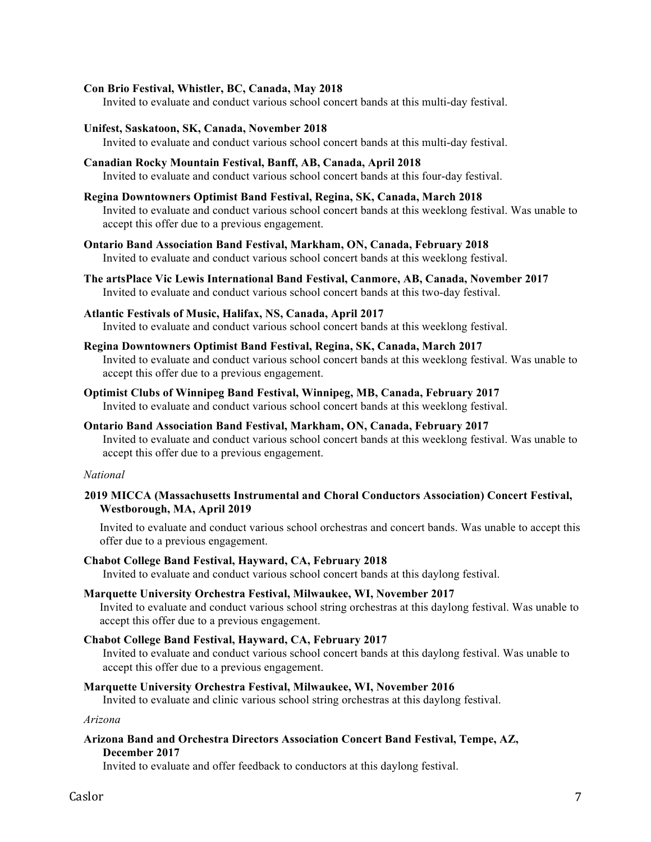## **Con Brio Festival, Whistler, BC, Canada, May 2018**

Invited to evaluate and conduct various school concert bands at this multi-day festival.

**Unifest, Saskatoon, SK, Canada, November 2018**

Invited to evaluate and conduct various school concert bands at this multi-day festival.

**Canadian Rocky Mountain Festival, Banff, AB, Canada, April 2018**

Invited to evaluate and conduct various school concert bands at this four-day festival.

**Regina Downtowners Optimist Band Festival, Regina, SK, Canada, March 2018**

Invited to evaluate and conduct various school concert bands at this weeklong festival. Was unable to accept this offer due to a previous engagement.

- **Ontario Band Association Band Festival, Markham, ON, Canada, February 2018** Invited to evaluate and conduct various school concert bands at this weeklong festival.
- **The artsPlace Vic Lewis International Band Festival, Canmore, AB, Canada, November 2017** Invited to evaluate and conduct various school concert bands at this two-day festival.
- **Atlantic Festivals of Music, Halifax, NS, Canada, April 2017** Invited to evaluate and conduct various school concert bands at this weeklong festival.
- **Regina Downtowners Optimist Band Festival, Regina, SK, Canada, March 2017**

Invited to evaluate and conduct various school concert bands at this weeklong festival. Was unable to accept this offer due to a previous engagement.

- **Optimist Clubs of Winnipeg Band Festival, Winnipeg, MB, Canada, February 2017** Invited to evaluate and conduct various school concert bands at this weeklong festival.
- **Ontario Band Association Band Festival, Markham, ON, Canada, February 2017** Invited to evaluate and conduct various school concert bands at this weeklong festival. Was unable to accept this offer due to a previous engagement.

#### *National*

**2019 MICCA (Massachusetts Instrumental and Choral Conductors Association) Concert Festival, Westborough, MA, April 2019**

Invited to evaluate and conduct various school orchestras and concert bands. Was unable to accept this offer due to a previous engagement.

# **Chabot College Band Festival, Hayward, CA, February 2018**

Invited to evaluate and conduct various school concert bands at this daylong festival.

#### **Marquette University Orchestra Festival, Milwaukee, WI, November 2017**

Invited to evaluate and conduct various school string orchestras at this daylong festival. Was unable to accept this offer due to a previous engagement.

#### **Chabot College Band Festival, Hayward, CA, February 2017**

Invited to evaluate and conduct various school concert bands at this daylong festival. Was unable to accept this offer due to a previous engagement.

#### **Marquette University Orchestra Festival, Milwaukee, WI, November 2016**

Invited to evaluate and clinic various school string orchestras at this daylong festival.

*Arizona*

**Arizona Band and Orchestra Directors Association Concert Band Festival, Tempe, AZ, December 2017**

Invited to evaluate and offer feedback to conductors at this daylong festival.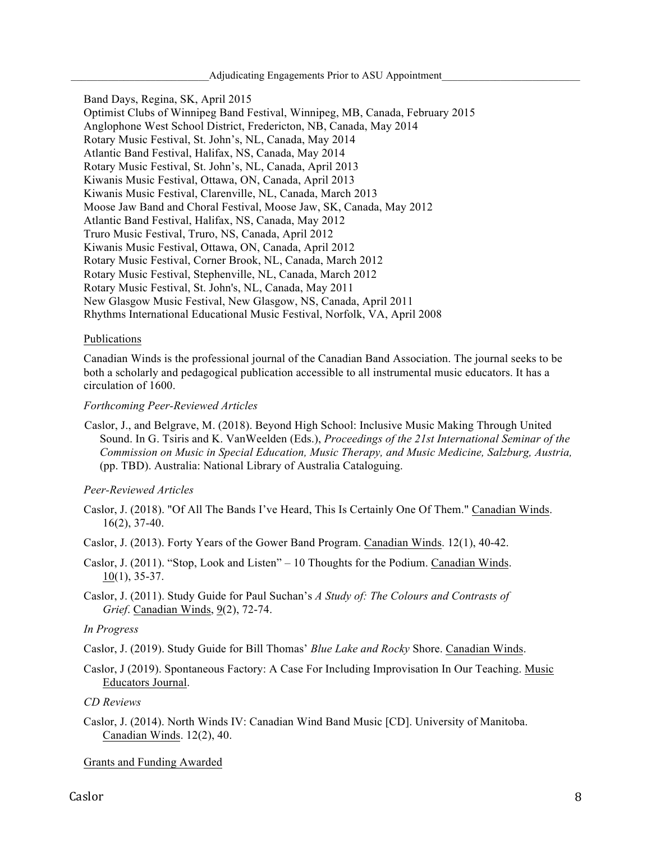Band Days, Regina, SK, April 2015 Optimist Clubs of Winnipeg Band Festival, Winnipeg, MB, Canada, February 2015 Anglophone West School District, Fredericton, NB, Canada, May 2014 Rotary Music Festival, St. John's, NL, Canada, May 2014 Atlantic Band Festival, Halifax, NS, Canada, May 2014 Rotary Music Festival, St. John's, NL, Canada, April 2013 Kiwanis Music Festival, Ottawa, ON, Canada, April 2013 Kiwanis Music Festival, Clarenville, NL, Canada, March 2013 Moose Jaw Band and Choral Festival, Moose Jaw, SK, Canada, May 2012 Atlantic Band Festival, Halifax, NS, Canada, May 2012 Truro Music Festival, Truro, NS, Canada, April 2012 Kiwanis Music Festival, Ottawa, ON, Canada, April 2012 Rotary Music Festival, Corner Brook, NL, Canada, March 2012 Rotary Music Festival, Stephenville, NL, Canada, March 2012 Rotary Music Festival, St. John's, NL, Canada, May 2011 New Glasgow Music Festival, New Glasgow, NS, Canada, April 2011 Rhythms International Educational Music Festival, Norfolk, VA, April 2008

## Publications

Canadian Winds is the professional journal of the Canadian Band Association. The journal seeks to be both a scholarly and pedagogical publication accessible to all instrumental music educators. It has a circulation of 1600.

#### *Forthcoming Peer-Reviewed Articles*

Caslor, J., and Belgrave, M. (2018). Beyond High School: Inclusive Music Making Through United Sound. In G. Tsiris and K. VanWeelden (Eds.), *Proceedings of the 21st International Seminar of the Commission on Music in Special Education, Music Therapy, and Music Medicine, Salzburg, Austria,* (pp. TBD). Australia: National Library of Australia Cataloguing.

# *Peer-Reviewed Articles*

- Caslor, J. (2018). "Of All The Bands I've Heard, This Is Certainly One Of Them." Canadian Winds. 16(2), 37-40.
- Caslor, J. (2013). Forty Years of the Gower Band Program. Canadian Winds. 12(1), 40-42.
- Caslor, J. (2011). "Stop, Look and Listen" 10 Thoughts for the Podium. Canadian Winds. 10(1), 35-37.
- Caslor, J. (2011). Study Guide for Paul Suchan's *A Study of: The Colours and Contrasts of Grief*. Canadian Winds, 9(2), 72-74.

# *In Progress*

- Caslor, J. (2019). Study Guide for Bill Thomas' *Blue Lake and Rocky* Shore. Canadian Winds.
- Caslor, J (2019). Spontaneous Factory: A Case For Including Improvisation In Our Teaching. Music Educators Journal.

*CD Reviews*

Caslor, J. (2014). North Winds IV: Canadian Wind Band Music [CD]. University of Manitoba. Canadian Winds. 12(2), 40.

#### Grants and Funding Awarded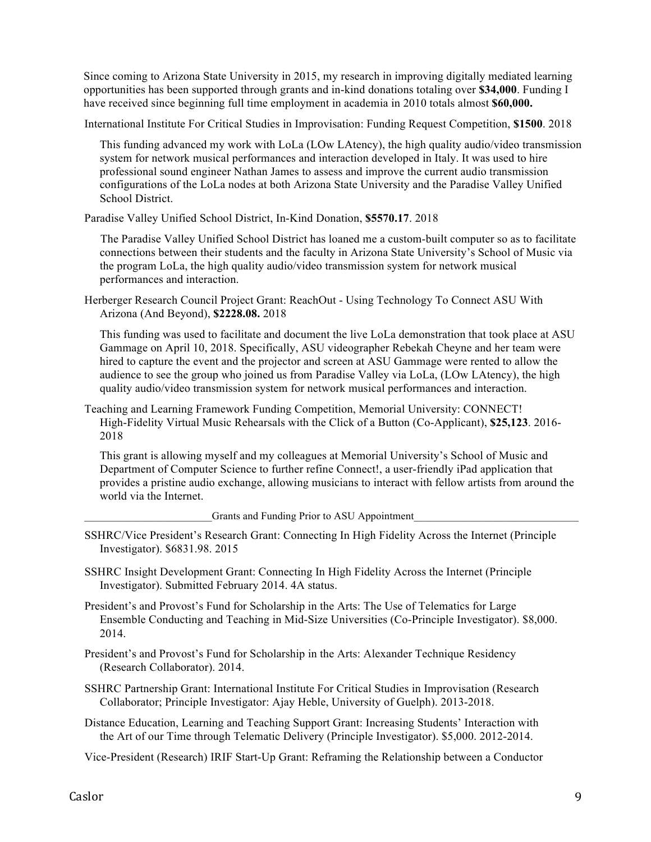Since coming to Arizona State University in 2015, my research in improving digitally mediated learning opportunities has been supported through grants and in-kind donations totaling over **\$34,000**. Funding I have received since beginning full time employment in academia in 2010 totals almost **\$60,000.**

International Institute For Critical Studies in Improvisation: Funding Request Competition, **\$1500**. 2018

This funding advanced my work with LoLa (LOw LAtency), the high quality audio/video transmission system for network musical performances and interaction developed in Italy. It was used to hire professional sound engineer Nathan James to assess and improve the current audio transmission configurations of the LoLa nodes at both Arizona State University and the Paradise Valley Unified School District.

Paradise Valley Unified School District, In-Kind Donation, **\$5570.17**. 2018

The Paradise Valley Unified School District has loaned me a custom-built computer so as to facilitate connections between their students and the faculty in Arizona State University's School of Music via the program LoLa, the high quality audio/video transmission system for network musical performances and interaction.

Herberger Research Council Project Grant: ReachOut - Using Technology To Connect ASU With Arizona (And Beyond), **\$2228.08.** 2018

This funding was used to facilitate and document the live LoLa demonstration that took place at ASU Gammage on April 10, 2018. Specifically, ASU videographer Rebekah Cheyne and her team were hired to capture the event and the projector and screen at ASU Gammage were rented to allow the audience to see the group who joined us from Paradise Valley via LoLa, (LOw LAtency), the high quality audio/video transmission system for network musical performances and interaction.

Teaching and Learning Framework Funding Competition, Memorial University: CONNECT! High-Fidelity Virtual Music Rehearsals with the Click of a Button (Co-Applicant), **\$25,123**. 2016- 2018

This grant is allowing myself and my colleagues at Memorial University's School of Music and Department of Computer Science to further refine Connect!, a user-friendly iPad application that provides a pristine audio exchange, allowing musicians to interact with fellow artists from around the world via the Internet.

Grants and Funding Prior to ASU Appointment

- SSHRC/Vice President's Research Grant: Connecting In High Fidelity Across the Internet (Principle Investigator). \$6831.98. 2015
- SSHRC Insight Development Grant: Connecting In High Fidelity Across the Internet (Principle Investigator). Submitted February 2014. 4A status.

President's and Provost's Fund for Scholarship in the Arts: The Use of Telematics for Large Ensemble Conducting and Teaching in Mid-Size Universities (Co-Principle Investigator). \$8,000. 2014.

President's and Provost's Fund for Scholarship in the Arts: Alexander Technique Residency (Research Collaborator). 2014.

- SSHRC Partnership Grant: International Institute For Critical Studies in Improvisation (Research Collaborator; Principle Investigator: Ajay Heble, University of Guelph). 2013-2018.
- Distance Education, Learning and Teaching Support Grant: Increasing Students' Interaction with the Art of our Time through Telematic Delivery (Principle Investigator). \$5,000. 2012-2014.

Vice-President (Research) IRIF Start-Up Grant: Reframing the Relationship between a Conductor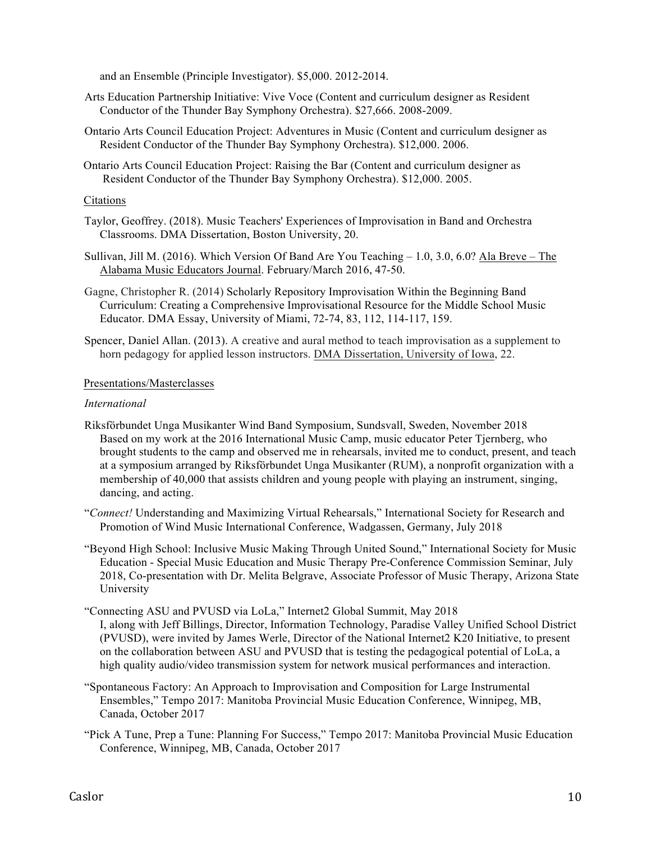and an Ensemble (Principle Investigator). \$5,000. 2012-2014.

- Arts Education Partnership Initiative: Vive Voce (Content and curriculum designer as Resident Conductor of the Thunder Bay Symphony Orchestra). \$27,666. 2008-2009.
- Ontario Arts Council Education Project: Adventures in Music (Content and curriculum designer as Resident Conductor of the Thunder Bay Symphony Orchestra). \$12,000. 2006.
- Ontario Arts Council Education Project: Raising the Bar (Content and curriculum designer as Resident Conductor of the Thunder Bay Symphony Orchestra). \$12,000. 2005.

## Citations

- Taylor, Geoffrey. (2018). Music Teachers' Experiences of Improvisation in Band and Orchestra Classrooms. DMA Dissertation, Boston University, 20.
- Sullivan, Jill M. (2016). Which Version Of Band Are You Teaching 1.0, 3.0, 6.0? Ala Breve The Alabama Music Educators Journal. February/March 2016, 47-50.
- Gagne, Christopher R. (2014) Scholarly Repository Improvisation Within the Beginning Band Curriculum: Creating a Comprehensive Improvisational Resource for the Middle School Music Educator. DMA Essay, University of Miami, 72-74, 83, 112, 114-117, 159.
- Spencer, Daniel Allan. (2013). A creative and aural method to teach improvisation as a supplement to horn pedagogy for applied lesson instructors. DMA Dissertation, University of Iowa, 22.

## Presentations/Masterclasses

## *International*

- Riksförbundet Unga Musikanter Wind Band Symposium, Sundsvall, Sweden, November 2018 Based on my work at the 2016 International Music Camp, music educator Peter Tjernberg, who brought students to the camp and observed me in rehearsals, invited me to conduct, present, and teach at a symposium arranged by Riksförbundet Unga Musikanter (RUM), a nonprofit organization with a membership of 40,000 that assists children and young people with playing an instrument, singing, dancing, and acting.
- "*Connect!* Understanding and Maximizing Virtual Rehearsals," International Society for Research and Promotion of Wind Music International Conference, Wadgassen, Germany, July 2018
- "Beyond High School: Inclusive Music Making Through United Sound," International Society for Music Education - Special Music Education and Music Therapy Pre-Conference Commission Seminar, July 2018, Co-presentation with Dr. Melita Belgrave, Associate Professor of Music Therapy, Arizona State University
- "Connecting ASU and PVUSD via LoLa," Internet2 Global Summit, May 2018 I, along with Jeff Billings, Director, Information Technology, Paradise Valley Unified School District (PVUSD), were invited by James Werle, Director of the National Internet2 K20 Initiative, to present on the collaboration between ASU and PVUSD that is testing the pedagogical potential of LoLa, a high quality audio/video transmission system for network musical performances and interaction.
- "Spontaneous Factory: An Approach to Improvisation and Composition for Large Instrumental Ensembles," Tempo 2017: Manitoba Provincial Music Education Conference, Winnipeg, MB, Canada, October 2017
- "Pick A Tune, Prep a Tune: Planning For Success," Tempo 2017: Manitoba Provincial Music Education Conference, Winnipeg, MB, Canada, October 2017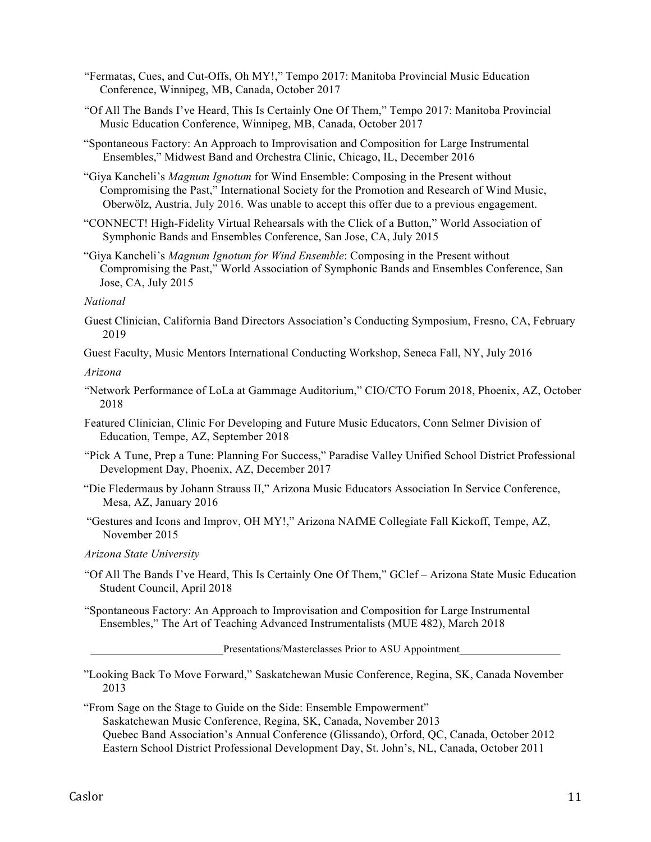- "Fermatas, Cues, and Cut-Offs, Oh MY!," Tempo 2017: Manitoba Provincial Music Education Conference, Winnipeg, MB, Canada, October 2017
- "Of All The Bands I've Heard, This Is Certainly One Of Them," Tempo 2017: Manitoba Provincial Music Education Conference, Winnipeg, MB, Canada, October 2017
- "Spontaneous Factory: An Approach to Improvisation and Composition for Large Instrumental Ensembles," Midwest Band and Orchestra Clinic, Chicago, IL, December 2016
- "Giya Kancheli's *Magnum Ignotum* for Wind Ensemble: Composing in the Present without Compromising the Past," International Society for the Promotion and Research of Wind Music, Oberwölz, Austria, July 2016. Was unable to accept this offer due to a previous engagement.
- "CONNECT! High-Fidelity Virtual Rehearsals with the Click of a Button," World Association of Symphonic Bands and Ensembles Conference, San Jose, CA, July 2015
- "Giya Kancheli's *Magnum Ignotum for Wind Ensemble*: Composing in the Present without Compromising the Past," World Association of Symphonic Bands and Ensembles Conference, San Jose, CA, July 2015

#### *National*

- Guest Clinician, California Band Directors Association's Conducting Symposium, Fresno, CA, February 2019
- Guest Faculty, Music Mentors International Conducting Workshop, Seneca Fall, NY, July 2016

*Arizona*

- "Network Performance of LoLa at Gammage Auditorium," CIO/CTO Forum 2018, Phoenix, AZ, October 2018
- Featured Clinician, Clinic For Developing and Future Music Educators, Conn Selmer Division of Education, Tempe, AZ, September 2018
- "Pick A Tune, Prep a Tune: Planning For Success," Paradise Valley Unified School District Professional Development Day, Phoenix, AZ, December 2017
- "Die Fledermaus by Johann Strauss II," Arizona Music Educators Association In Service Conference, Mesa, AZ, January 2016
- "Gestures and Icons and Improv, OH MY!," Arizona NAfME Collegiate Fall Kickoff, Tempe, AZ, November 2015

# *Arizona State University*

"Of All The Bands I've Heard, This Is Certainly One Of Them," GClef – Arizona State Music Education Student Council, April 2018

"Spontaneous Factory: An Approach to Improvisation and Composition for Large Instrumental Ensembles," The Art of Teaching Advanced Instrumentalists (MUE 482), March 2018

Presentations/Masterclasses Prior to ASU Appointment

"Looking Back To Move Forward," Saskatchewan Music Conference, Regina, SK, Canada November 2013

"From Sage on the Stage to Guide on the Side: Ensemble Empowerment" Saskatchewan Music Conference, Regina, SK, Canada, November 2013 Quebec Band Association's Annual Conference (Glissando), Orford, QC, Canada, October 2012 Eastern School District Professional Development Day, St. John's, NL, Canada, October 2011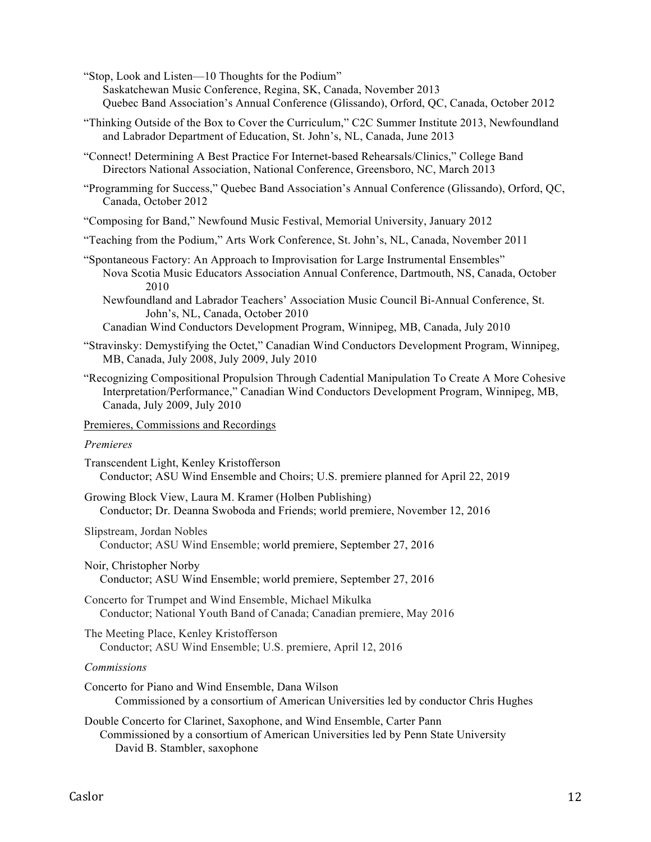"Stop, Look and Listen—10 Thoughts for the Podium"

- Saskatchewan Music Conference, Regina, SK, Canada, November 2013 Quebec Band Association's Annual Conference (Glissando), Orford, QC, Canada, October 2012
- "Thinking Outside of the Box to Cover the Curriculum," C2C Summer Institute 2013, Newfoundland and Labrador Department of Education, St. John's, NL, Canada, June 2013
- "Connect! Determining A Best Practice For Internet-based Rehearsals/Clinics," College Band Directors National Association, National Conference, Greensboro, NC, March 2013
- "Programming for Success," Quebec Band Association's Annual Conference (Glissando), Orford, QC, Canada, October 2012
- "Composing for Band," Newfound Music Festival, Memorial University, January 2012
- "Teaching from the Podium," Arts Work Conference, St. John's, NL, Canada, November 2011
- "Spontaneous Factory: An Approach to Improvisation for Large Instrumental Ensembles" Nova Scotia Music Educators Association Annual Conference, Dartmouth, NS, Canada, October 2010
	- Newfoundland and Labrador Teachers' Association Music Council Bi-Annual Conference, St. John's, NL, Canada, October 2010
	- Canadian Wind Conductors Development Program, Winnipeg, MB, Canada, July 2010
- "Stravinsky: Demystifying the Octet," Canadian Wind Conductors Development Program, Winnipeg, MB, Canada, July 2008, July 2009, July 2010
- "Recognizing Compositional Propulsion Through Cadential Manipulation To Create A More Cohesive Interpretation/Performance," Canadian Wind Conductors Development Program, Winnipeg, MB, Canada, July 2009, July 2010

#### Premieres, Commissions and Recordings

## *Premieres*

| Transcendent Light, Kenley Kristofferson                                          |  |
|-----------------------------------------------------------------------------------|--|
| Conductor; ASU Wind Ensemble and Choirs; U.S. premiere planned for April 22, 2019 |  |

- Growing Block View, Laura M. Kramer (Holben Publishing) Conductor; Dr. Deanna Swoboda and Friends; world premiere, November 12, 2016
- Slipstream, Jordan Nobles Conductor; ASU Wind Ensemble; world premiere, September 27, 2016
- Noir, Christopher Norby Conductor; ASU Wind Ensemble; world premiere, September 27, 2016
- Concerto for Trumpet and Wind Ensemble, Michael Mikulka Conductor; National Youth Band of Canada; Canadian premiere, May 2016
- The Meeting Place, Kenley Kristofferson Conductor; ASU Wind Ensemble; U.S. premiere, April 12, 2016

#### *Commissions*

- Concerto for Piano and Wind Ensemble, Dana Wilson Commissioned by a consortium of American Universities led by conductor Chris Hughes
- Double Concerto for Clarinet, Saxophone, and Wind Ensemble, Carter Pann Commissioned by a consortium of American Universities led by Penn State University David B. Stambler, saxophone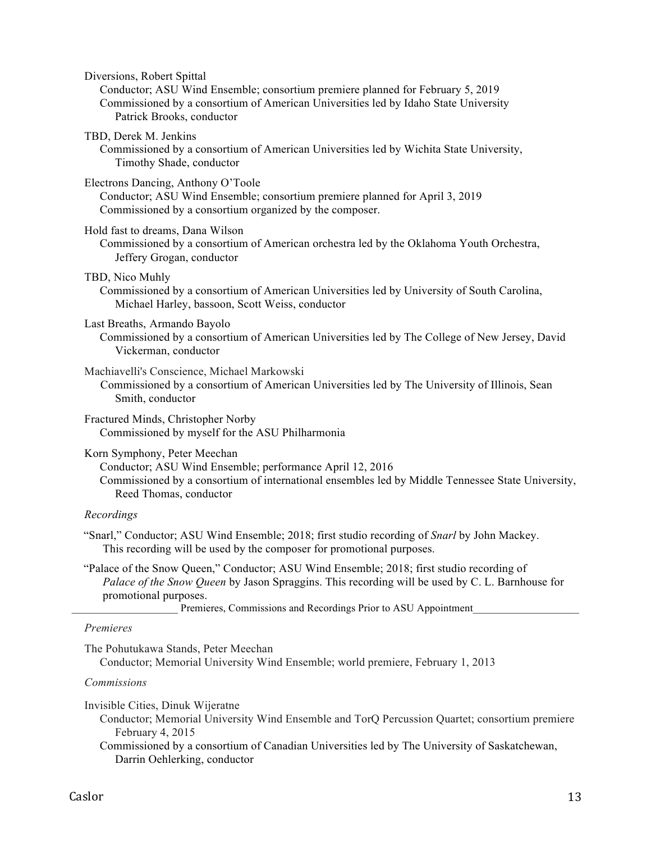| Diversions, Robert Spittal                                                                                                                                                                                              |
|-------------------------------------------------------------------------------------------------------------------------------------------------------------------------------------------------------------------------|
| Conductor; ASU Wind Ensemble; consortium premiere planned for February 5, 2019<br>Commissioned by a consortium of American Universities led by Idaho State University<br>Patrick Brooks, conductor                      |
| TBD, Derek M. Jenkins<br>Commissioned by a consortium of American Universities led by Wichita State University,<br>Timothy Shade, conductor                                                                             |
| Electrons Dancing, Anthony O'Toole<br>Conductor; ASU Wind Ensemble; consortium premiere planned for April 3, 2019<br>Commissioned by a consortium organized by the composer.                                            |
| Hold fast to dreams, Dana Wilson<br>Commissioned by a consortium of American orchestra led by the Oklahoma Youth Orchestra,<br>Jeffery Grogan, conductor                                                                |
| TBD, Nico Muhly<br>Commissioned by a consortium of American Universities led by University of South Carolina,<br>Michael Harley, bassoon, Scott Weiss, conductor                                                        |
| Last Breaths, Armando Bayolo<br>Commissioned by a consortium of American Universities led by The College of New Jersey, David<br>Vickerman, conductor                                                                   |
| Machiavelli's Conscience, Michael Markowski<br>Commissioned by a consortium of American Universities led by The University of Illinois, Sean<br>Smith, conductor                                                        |
| Fractured Minds, Christopher Norby<br>Commissioned by myself for the ASU Philharmonia                                                                                                                                   |
| Korn Symphony, Peter Meechan<br>Conductor; ASU Wind Ensemble; performance April 12, 2016<br>Commissioned by a consortium of international ensembles led by Middle Tennessee State University,<br>Reed Thomas, conductor |
|                                                                                                                                                                                                                         |

# *Recordings*

- "Snarl," Conductor; ASU Wind Ensemble; 2018; first studio recording of *Snarl* by John Mackey. This recording will be used by the composer for promotional purposes.
- "Palace of the Snow Queen," Conductor; ASU Wind Ensemble; 2018; first studio recording of *Palace of the Snow Queen* by Jason Spraggins. This recording will be used by C. L. Barnhouse for promotional purposes.

Premieres, Commissions and Recordings Prior to ASU Appointment

# *Premieres*

The Pohutukawa Stands, Peter Meechan

Conductor; Memorial University Wind Ensemble; world premiere, February 1, 2013

## *Commissions*

Invisible Cities, Dinuk Wijeratne

- Conductor; Memorial University Wind Ensemble and TorQ Percussion Quartet; consortium premiere February 4, 2015
- Commissioned by a consortium of Canadian Universities led by The University of Saskatchewan, Darrin Oehlerking, conductor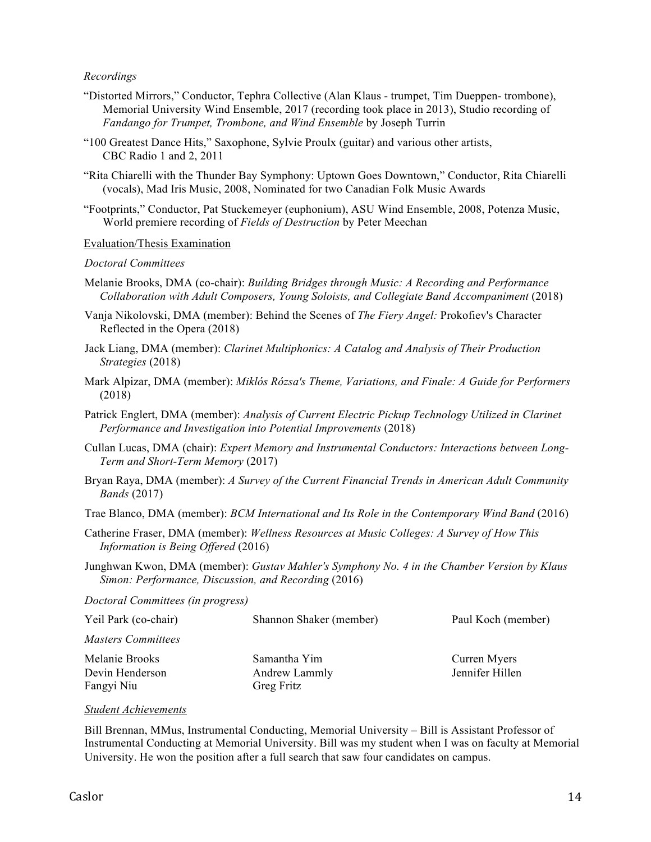## *Recordings*

- "Distorted Mirrors," Conductor, Tephra Collective (Alan Klaus trumpet, Tim Dueppen- trombone), Memorial University Wind Ensemble, 2017 (recording took place in 2013), Studio recording of *Fandango for Trumpet, Trombone, and Wind Ensemble* by Joseph Turrin
- "100 Greatest Dance Hits," Saxophone, Sylvie Proulx (guitar) and various other artists, CBC Radio 1 and 2, 2011
- "Rita Chiarelli with the Thunder Bay Symphony: Uptown Goes Downtown," Conductor, Rita Chiarelli (vocals), Mad Iris Music, 2008, Nominated for two Canadian Folk Music Awards
- "Footprints," Conductor, Pat Stuckemeyer (euphonium), ASU Wind Ensemble, 2008, Potenza Music, World premiere recording of *Fields of Destruction* by Peter Meechan

## Evaluation/Thesis Examination

#### *Doctoral Committees*

- Melanie Brooks, DMA (co-chair): *Building Bridges through Music: A Recording and Performance Collaboration with Adult Composers, Young Soloists, and Collegiate Band Accompaniment* (2018)
- Vanja Nikolovski, DMA (member): Behind the Scenes of *The Fiery Angel:* Prokofiev's Character Reflected in the Opera (2018)
- Jack Liang, DMA (member): *Clarinet Multiphonics: A Catalog and Analysis of Their Production Strategies* (2018)
- Mark Alpizar, DMA (member): *Miklós Rózsa's Theme, Variations, and Finale: A Guide for Performers* (2018)
- Patrick Englert, DMA (member): *Analysis of Current Electric Pickup Technology Utilized in Clarinet Performance and Investigation into Potential Improvements* (2018)
- Cullan Lucas, DMA (chair): *Expert Memory and Instrumental Conductors: Interactions between Long-Term and Short-Term Memory* (2017)
- Bryan Raya, DMA (member): *A Survey of the Current Financial Trends in American Adult Community Bands* (2017)

Trae Blanco, DMA (member): *BCM International and Its Role in the Contemporary Wind Band* (2016)

- Catherine Fraser, DMA (member): *Wellness Resources at Music Colleges: A Survey of How This Information is Being Offered* (2016)
- Junghwan Kwon, DMA (member): *Gustav Mahler's Symphony No. 4 in the Chamber Version by Klaus Simon: Performance, Discussion, and Recording* (2016)

*Doctoral Committees (in progress)*

| Yeil Park (co-chair) | Shannon Shaker (member) | Paul Koch (member) |
|----------------------|-------------------------|--------------------|
| Masters Committees   |                         |                    |
| Melanie Brooks       | Samantha Yim            | Curren Myers       |
| Devin Henderson      | Andrew Lammly           | Jennifer Hillen    |
| Fangyi Niu           | Greg Fritz              |                    |

## *Student Achievements*

Bill Brennan, MMus, Instrumental Conducting, Memorial University – Bill is Assistant Professor of Instrumental Conducting at Memorial University. Bill was my student when I was on faculty at Memorial University. He won the position after a full search that saw four candidates on campus.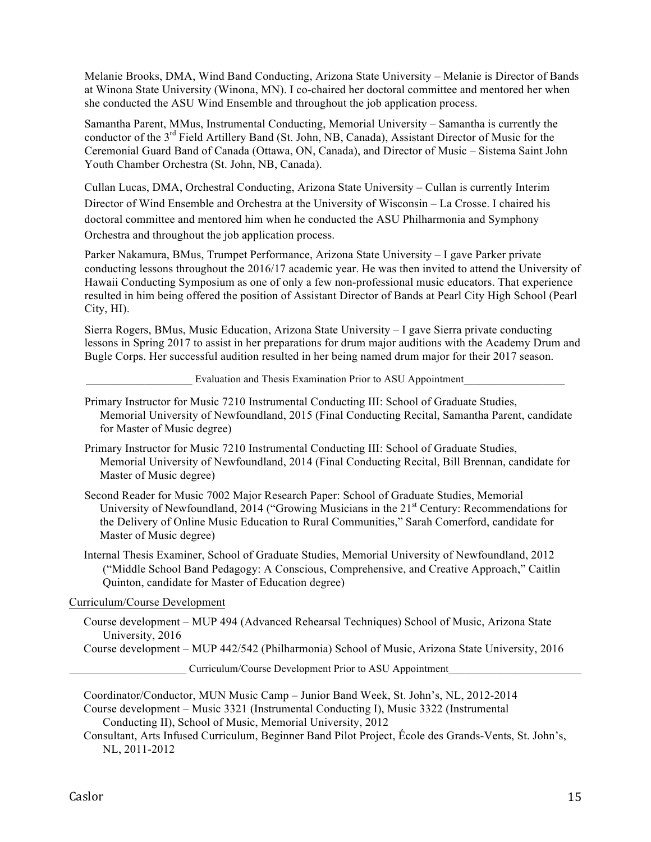Melanie Brooks, DMA, Wind Band Conducting, Arizona State University – Melanie is Director of Bands at Winona State University (Winona, MN). I co-chaired her doctoral committee and mentored her when she conducted the ASU Wind Ensemble and throughout the job application process.

Samantha Parent, MMus, Instrumental Conducting, Memorial University – Samantha is currently the conductor of the 3<sup>rd</sup> Field Artillery Band (St. John, NB, Canada), Assistant Director of Music for the Ceremonial Guard Band of Canada (Ottawa, ON, Canada), and Director of Music – Sistema Saint John Youth Chamber Orchestra (St. John, NB, Canada).

Cullan Lucas, DMA, Orchestral Conducting, Arizona State University – Cullan is currently Interim Director of Wind Ensemble and Orchestra at the University of Wisconsin – La Crosse. I chaired his doctoral committee and mentored him when he conducted the ASU Philharmonia and Symphony Orchestra and throughout the job application process.

Parker Nakamura, BMus, Trumpet Performance, Arizona State University – I gave Parker private conducting lessons throughout the 2016/17 academic year. He was then invited to attend the University of Hawaii Conducting Symposium as one of only a few non-professional music educators. That experience resulted in him being offered the position of Assistant Director of Bands at Pearl City High School (Pearl City, HI).

Sierra Rogers, BMus, Music Education, Arizona State University – I gave Sierra private conducting lessons in Spring 2017 to assist in her preparations for drum major auditions with the Academy Drum and Bugle Corps. Her successful audition resulted in her being named drum major for their 2017 season.

Evaluation and Thesis Examination Prior to ASU Appointment

- Primary Instructor for Music 7210 Instrumental Conducting III: School of Graduate Studies, Memorial University of Newfoundland, 2015 (Final Conducting Recital, Samantha Parent, candidate for Master of Music degree)
- Primary Instructor for Music 7210 Instrumental Conducting III: School of Graduate Studies, Memorial University of Newfoundland, 2014 (Final Conducting Recital, Bill Brennan, candidate for Master of Music degree)
- Second Reader for Music 7002 Major Research Paper: School of Graduate Studies, Memorial University of Newfoundland, 2014 ("Growing Musicians in the 21<sup>st</sup> Century: Recommendations for the Delivery of Online Music Education to Rural Communities," Sarah Comerford, candidate for Master of Music degree)
- Internal Thesis Examiner, School of Graduate Studies, Memorial University of Newfoundland, 2012 ("Middle School Band Pedagogy: A Conscious, Comprehensive, and Creative Approach," Caitlin Quinton, candidate for Master of Education degree)

# Curriculum/Course Development

Course development – MUP 494 (Advanced Rehearsal Techniques) School of Music, Arizona State University, 2016

Course development – MUP 442/542 (Philharmonia) School of Music, Arizona State University, 2016

Curriculum/Course Development Prior to ASU Appointment

Coordinator/Conductor, MUN Music Camp – Junior Band Week, St. John's, NL, 2012-2014 Course development – Music 3321 (Instrumental Conducting I), Music 3322 (Instrumental Conducting II), School of Music, Memorial University, 2012

Consultant, Arts Infused Curriculum, Beginner Band Pilot Project, École des Grands-Vents, St. John's, NL, 2011-2012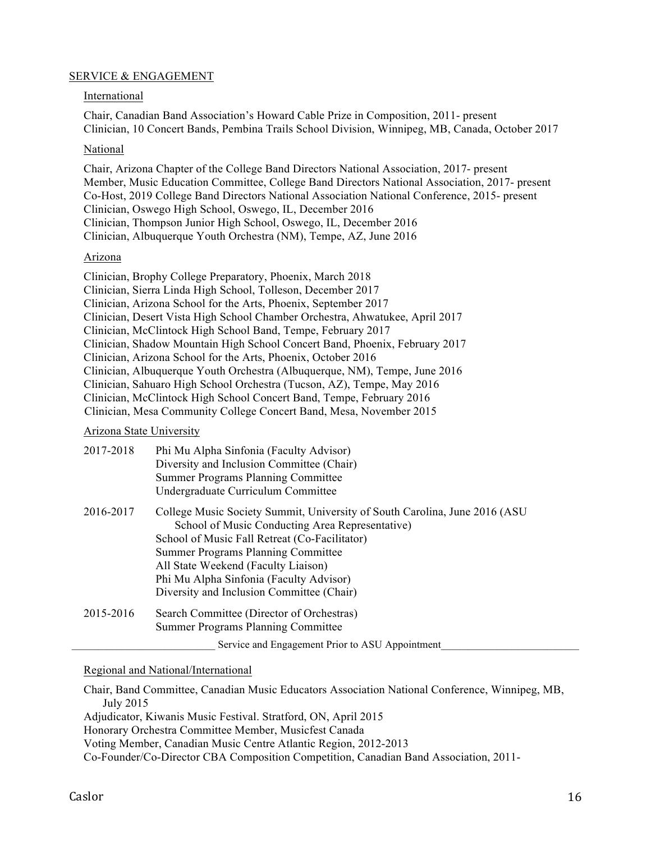# SERVICE & ENGAGEMENT

## International

Chair, Canadian Band Association's Howard Cable Prize in Composition, 2011- present Clinician, 10 Concert Bands, Pembina Trails School Division, Winnipeg, MB, Canada, October 2017

## National

Chair, Arizona Chapter of the College Band Directors National Association, 2017- present Member, Music Education Committee, College Band Directors National Association, 2017- present Co-Host, 2019 College Band Directors National Association National Conference, 2015- present Clinician, Oswego High School, Oswego, IL, December 2016 Clinician, Thompson Junior High School, Oswego, IL, December 2016 Clinician, Albuquerque Youth Orchestra (NM), Tempe, AZ, June 2016

## Arizona

- Clinician, Brophy College Preparatory, Phoenix, March 2018
- Clinician, Sierra Linda High School, Tolleson, December 2017
- Clinician, Arizona School for the Arts, Phoenix, September 2017
- Clinician, Desert Vista High School Chamber Orchestra, Ahwatukee, April 2017
- Clinician, McClintock High School Band, Tempe, February 2017
- Clinician, Shadow Mountain High School Concert Band, Phoenix, February 2017
- Clinician, Arizona School for the Arts, Phoenix, October 2016
- Clinician, Albuquerque Youth Orchestra (Albuquerque, NM), Tempe, June 2016

Clinician, Sahuaro High School Orchestra (Tucson, AZ), Tempe, May 2016

Clinician, McClintock High School Concert Band, Tempe, February 2016

Clinician, Mesa Community College Concert Band, Mesa, November 2015

# Arizona State University

| 2017-2018 | Phi Mu Alpha Sinfonia (Faculty Advisor)                                                |
|-----------|----------------------------------------------------------------------------------------|
|           | Diversity and Inclusion Committee (Chair)                                              |
|           | <b>Summer Programs Planning Committee</b>                                              |
|           | Undergraduate Curriculum Committee                                                     |
| 2016-2017 | College Music Society Summit, University of South Carolina, June 2016 (ASU)            |
|           | School of Music Conducting Area Representative)                                        |
|           | School of Music Fall Retreat (Co-Facilitator)                                          |
|           | <b>Summer Programs Planning Committee</b>                                              |
|           | All State Weekend (Faculty Liaison)                                                    |
|           | Phi Mu Alpha Sinfonia (Faculty Advisor)                                                |
|           | Diversity and Inclusion Committee (Chair)                                              |
| 2015-2016 | Search Committee (Director of Orchestras)<br><b>Summer Programs Planning Committee</b> |
|           | Service and Engagement Prior to ASU Appointment                                        |

# Regional and National/International

Chair, Band Committee, Canadian Music Educators Association National Conference, Winnipeg, MB, July 2015

Adjudicator, Kiwanis Music Festival. Stratford, ON, April 2015

Honorary Orchestra Committee Member, Musicfest Canada

Voting Member, Canadian Music Centre Atlantic Region, 2012-2013

Co-Founder/Co-Director CBA Composition Competition, Canadian Band Association, 2011-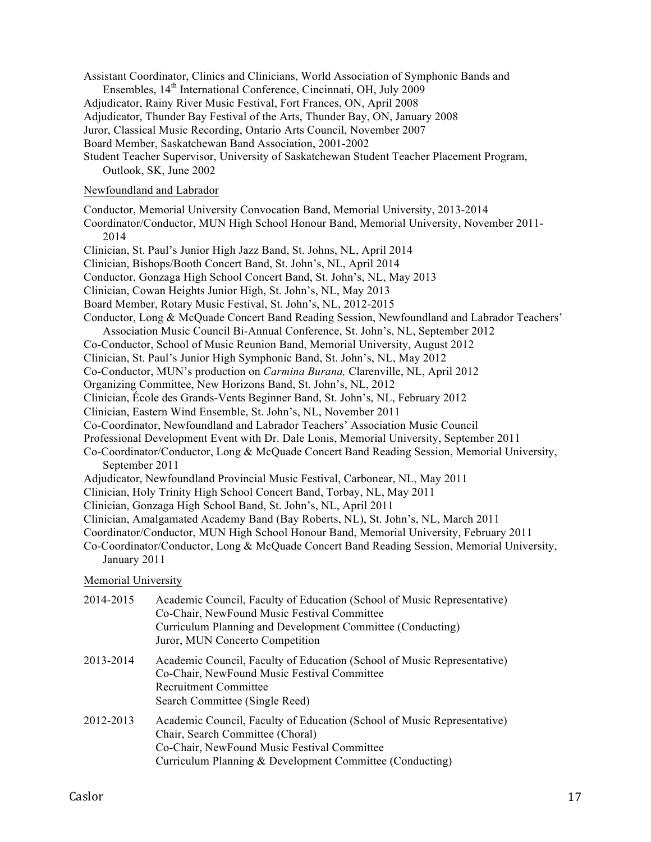- Assistant Coordinator, Clinics and Clinicians, World Association of Symphonic Bands and Ensembles, 14<sup>th</sup> International Conference, Cincinnati, OH, July 2009
- Adjudicator, Rainy River Music Festival, Fort Frances, ON, April 2008
- Adjudicator, Thunder Bay Festival of the Arts, Thunder Bay, ON, January 2008
- Juror, Classical Music Recording, Ontario Arts Council, November 2007

Board Member, Saskatchewan Band Association, 2001-2002

Student Teacher Supervisor, University of Saskatchewan Student Teacher Placement Program, Outlook, SK, June 2002

## Newfoundland and Labrador

- Conductor, Memorial University Convocation Band, Memorial University, 2013-2014
- Coordinator/Conductor, MUN High School Honour Band, Memorial University, November 2011- 2014
- Clinician, St. Paul's Junior High Jazz Band, St. Johns, NL, April 2014
- Clinician, Bishops/Booth Concert Band, St. John's, NL, April 2014
- Conductor, Gonzaga High School Concert Band, St. John's, NL, May 2013
- Clinician, Cowan Heights Junior High, St. John's, NL, May 2013
- Board Member, Rotary Music Festival, St. John's, NL, 2012-2015
- Conductor, Long & McQuade Concert Band Reading Session, Newfoundland and Labrador Teachers' Association Music Council Bi-Annual Conference, St. John's, NL, September 2012
- Co-Conductor, School of Music Reunion Band, Memorial University, August 2012
- Clinician, St. Paul's Junior High Symphonic Band, St. John's, NL, May 2012
- Co-Conductor, MUN's production on *Carmina Burana,* Clarenville, NL, April 2012
- Organizing Committee, New Horizons Band, St. John's, NL, 2012
- Clinician, École des Grands-Vents Beginner Band, St. John's, NL, February 2012
- Clinician, Eastern Wind Ensemble, St. John's, NL, November 2011
- Co-Coordinator, Newfoundland and Labrador Teachers' Association Music Council
- Professional Development Event with Dr. Dale Lonis, Memorial University, September 2011
- Co-Coordinator/Conductor, Long & McQuade Concert Band Reading Session, Memorial University, September 2011
- Adjudicator, Newfoundland Provincial Music Festival, Carbonear, NL, May 2011
- Clinician, Holy Trinity High School Concert Band, Torbay, NL, May 2011
- Clinician, Gonzaga High School Band, St. John's, NL, April 2011
- Clinician, Amalgamated Academy Band (Bay Roberts, NL), St. John's, NL, March 2011
- Coordinator/Conductor, MUN High School Honour Band, Memorial University, February 2011
- Co-Coordinator/Conductor, Long & McQuade Concert Band Reading Session, Memorial University, January 2011

Memorial University

| 2014-2015 | Academic Council, Faculty of Education (School of Music Representative)<br>Co-Chair, NewFound Music Festival Committee<br>Curriculum Planning and Development Committee (Conducting)<br>Juror, MUN Concerto Competition |
|-----------|-------------------------------------------------------------------------------------------------------------------------------------------------------------------------------------------------------------------------|
| 2013-2014 | Academic Council, Faculty of Education (School of Music Representative)<br>Co-Chair, NewFound Music Festival Committee<br>Recruitment Committee<br>Search Committee (Single Reed)                                       |
| 2012-2013 | Academic Council, Faculty of Education (School of Music Representative)<br>Chair, Search Committee (Choral)<br>Co-Chair, NewFound Music Festival Committee<br>Curriculum Planning & Development Committee (Conducting)  |